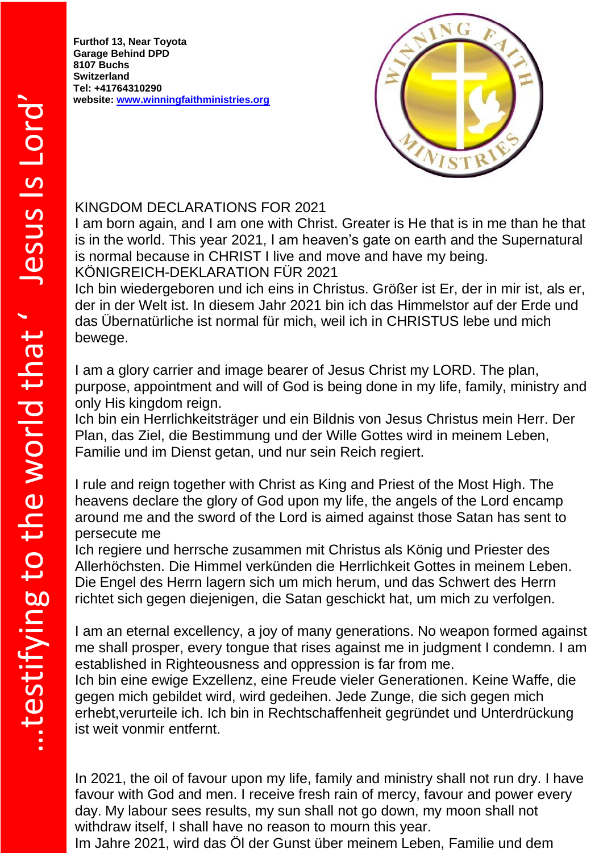**Furthof 13, Near Toyota Garage Behind DPD 8107 Buchs Switzerland Tel: +41764310290 website: [www.winningfaithministries.org](http://www.winningfaithministries.org/)**



## KINGDOM DECLARATIONS FOR 2021

I am born again, and I am one with Christ. Greater is He that is in me than he that is in the world. This year 2021, I am heaven's gate on earth and the Supernatural is normal because in CHRIST I live and move and have my being. KÖNIGREICH-DEKLARATION FÜR 2021

Ich bin wiedergeboren und ich eins in Christus. Größer ist Er, der in mir ist, als er, der in der Welt ist. In diesem Jahr 2021 bin ich das Himmelstor auf der Erde und das Übernatürliche ist normal für mich, weil ich in CHRISTUS lebe und mich bewege.

I am a glory carrier and image bearer of Jesus Christ my LORD. The plan, purpose, appointment and will of God is being done in my life, family, ministry and only His kingdom reign.

Ich bin ein Herrlichkeitsträger und ein Bildnis von Jesus Christus mein Herr. Der Plan, das Ziel, die Bestimmung und der Wille Gottes wird in meinem Leben, Familie und im Dienst getan, und nur sein Reich regiert.

I rule and reign together with Christ as King and Priest of the Most High. The heavens declare the glory of God upon my life, the angels of the Lord encamp around me and the sword of the Lord is aimed against those Satan has sent to persecute me

Ich regiere und herrsche zusammen mit Christus als König und Priester des Allerhöchsten. Die Himmel verkünden die Herrlichkeit Gottes in meinem Leben. Die Engel des Herrn lagern sich um mich herum, und das Schwert des Herrn richtet sich gegen diejenigen, die Satan geschickt hat, um mich zu verfolgen.

I am an eternal excellency, a joy of many generations. No weapon formed against me shall prosper, every tongue that rises against me in judgment I condemn. I am established in Righteousness and oppression is far from me.

Ich bin eine ewige Exzellenz, eine Freude vieler Generationen. Keine Waffe, die gegen mich gebildet wird, wird gedeihen. Jede Zunge, die sich gegen mich erhebt,verurteile ich. Ich bin in Rechtschaffenheit gegründet und Unterdrückung ist weit vonmir entfernt.

In 2021, the oil of favour upon my life, family and ministry shall not run dry. I have favour with God and men. I receive fresh rain of mercy, favour and power every day. My labour sees results, my sun shall not go down, my moon shall not withdraw itself, I shall have no reason to mourn this year.

Im Jahre 2021, wird das Öl der Gunst über meinem Leben, Familie und dem